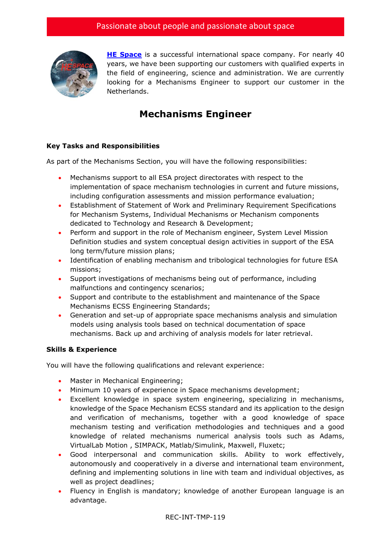

**[HE Space](http://www.hespace.com/)** is a successful international space company. For nearly 40 years, we have been supporting our customers with qualified experts in the field of engineering, science and administration. We are currently looking for a Mechanisms Engineer to support our customer in the Netherlands.

## **Mechanisms Engineer**

## **Key Tasks and Responsibilities**

As part of the Mechanisms Section, you will have the following responsibilities:

- Mechanisms support to all ESA project directorates with respect to the implementation of space mechanism technologies in current and future missions, including configuration assessments and mission performance evaluation;
- Establishment of Statement of Work and Preliminary Requirement Specifications for Mechanism Systems, Individual Mechanisms or Mechanism components dedicated to Technology and Research & Development;
- Perform and support in the role of Mechanism engineer, System Level Mission Definition studies and system conceptual design activities in support of the ESA long term/future mission plans;
- Identification of enabling mechanism and tribological technologies for future ESA missions;
- Support investigations of mechanisms being out of performance, including malfunctions and contingency scenarios;
- Support and contribute to the establishment and maintenance of the Space Mechanisms ECSS Engineering Standards;
- Generation and set-up of appropriate space mechanisms analysis and simulation models using analysis tools based on technical documentation of space mechanisms. Back up and archiving of analysis models for later retrieval.

## **Skills & Experience**

You will have the following qualifications and relevant experience:

- Master in Mechanical Engineering;
- Minimum 10 years of experience in Space mechanisms development;
- Excellent knowledge in space system engineering, specializing in mechanisms, knowledge of the Space Mechanism ECSS standard and its application to the design and verification of mechanisms, together with a good knowledge of space mechanism testing and verification methodologies and techniques and a good knowledge of related mechanisms numerical analysis tools such as Adams, VirtualLab Motion , SIMPACK, Matlab/Simulink, Maxwell, Fluxetc;
- Good interpersonal and communication skills. Ability to work effectively, autonomously and cooperatively in a diverse and international team environment, defining and implementing solutions in line with team and individual objectives, as well as project deadlines;
- Fluency in English is mandatory; knowledge of another European language is an advantage.